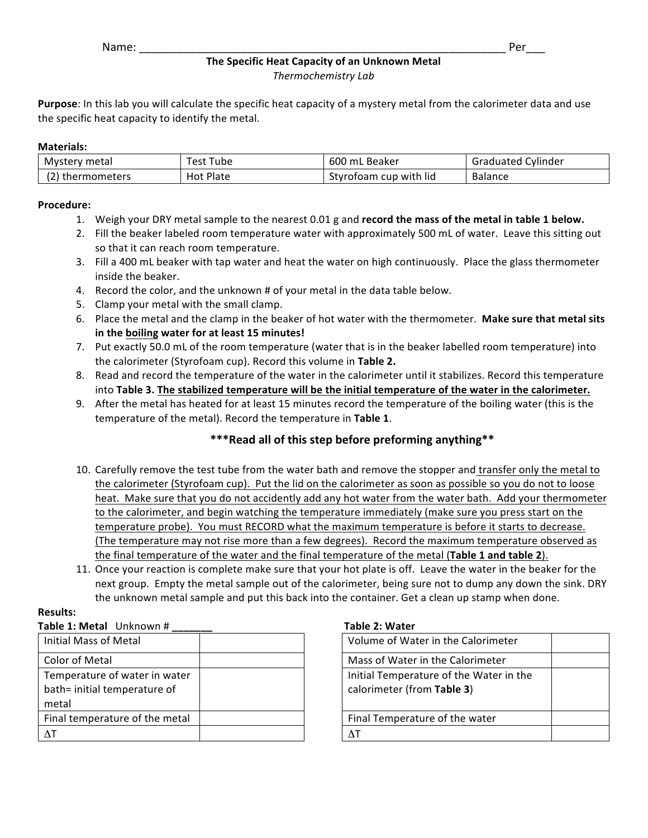## **The Specific Heat Capacity of an Unknown Metal** *Thermochemistry Lab*

**Purpose**: In this lab you will calculate the specific heat capacity of a mystery metal from the calorimeter data and use the specific heat capacity to identify the metal.

### **Materials:**

| Mystery metal | est<br>Tube      | 600<br><sub>–</sub> Beaker<br>mL | . Cylinder<br>Graduated |
|---------------|------------------|----------------------------------|-------------------------|
| thermometers  | <b>Hot Plate</b> | Styrofoam cup with lid           | <b>Balance</b>          |

### **Procedure:**

- 1. Weigh your DRY metal sample to the nearest 0.01 g and record the mass of the metal in table 1 below.
- 2. Fill the beaker labeled room temperature water with approximately 500 mL of water. Leave this sitting out so that it can reach room temperature.
- 3. Fill a 400 mL beaker with tap water and heat the water on high continuously. Place the glass thermometer inside the beaker.
- 4. Record the color, and the unknown # of your metal in the data table below.
- 5. Clamp your metal with the small clamp.
- 6. Place the metal and the clamp in the beaker of hot water with the thermometer. Make sure that metal sits **in the boiling water for at least 15 minutes!**
- 7. Put exactly 50.0 mL of the room temperature (water that is in the beaker labelled room temperature) into the calorimeter (Styrofoam cup). Record this volume in Table 2.
- 8. Read and record the temperature of the water in the calorimeter until it stabilizes. Record this temperature into Table 3. The stabilized temperature will be the initial temperature of the water in the calorimeter.
- 9. After the metal has heated for at least 15 minutes record the temperature of the boiling water (this is the temperature of the metal). Record the temperature in Table 1.

# \*\*\*Read all of this step before preforming anything\*\*

- 10. Carefully remove the test tube from the water bath and remove the stopper and transfer only the metal to the calorimeter (Styrofoam cup). Put the lid on the calorimeter as soon as possible so you do not to loose heat. Make sure that you do not accidently add any hot water from the water bath. Add your thermometer to the calorimeter, and begin watching the temperature immediately (make sure you press start on the temperature probe). You must RECORD what the maximum temperature is before it starts to decrease. (The temperature may not rise more than a few degrees). Record the maximum temperature observed as the final temperature of the water and the final temperature of the metal (Table 1 and table 2).
- 11. Once your reaction is complete make sure that your hot plate is off. Leave the water in the beaker for the next group. Empty the metal sample out of the calorimeter, being sure not to dump any down the sink. DRY the unknown metal sample and put this back into the container. Get a clean up stamp when done.

## **Results:**

| Table 1: Metal Unknown # |  |
|--------------------------|--|
|--------------------------|--|

| Initial Mass of Metal                                                  | Volume of Water in the Calorimeter                                |
|------------------------------------------------------------------------|-------------------------------------------------------------------|
| <b>Color of Metal</b>                                                  | Mass of Water in the Calorimeter                                  |
| Temperature of water in water<br>bath= initial temperature of<br>metal | Initial Temperature of the Water in<br>calorimeter (from Table 3) |
| Final temperature of the metal                                         | Final Temperature of the water                                    |
| $\Delta T$                                                             |                                                                   |

### **Table 2: Water**

| Volume of Water in the Calorimeter                                    |  |
|-----------------------------------------------------------------------|--|
| Mass of Water in the Calorimeter                                      |  |
| Initial Temperature of the Water in the<br>calorimeter (from Table 3) |  |
| Final Temperature of the water                                        |  |
|                                                                       |  |